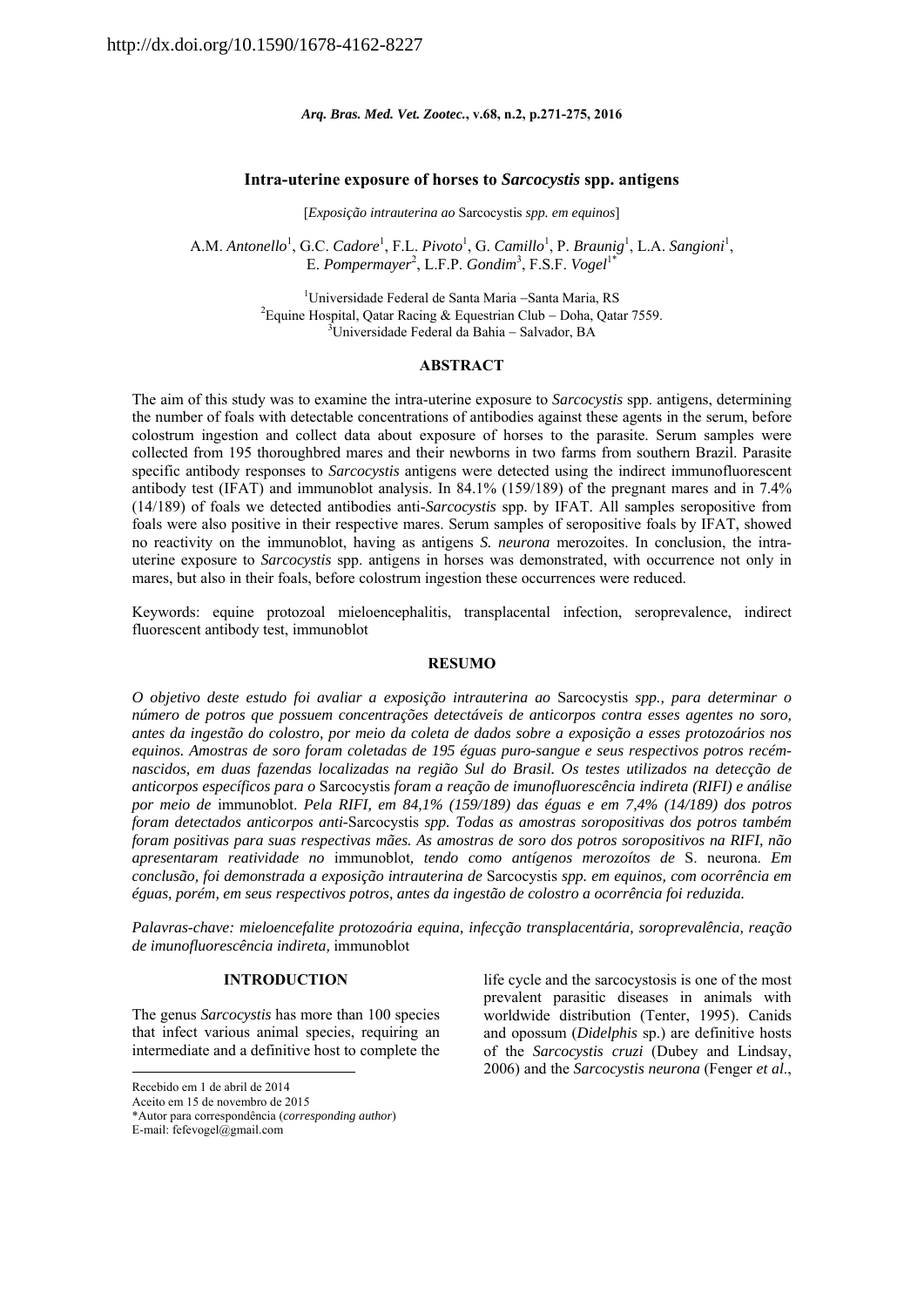#### *Arq. Bras. Med. Vet. Zootec.***, v.68, n.2, p.271-275, 2016**

## **Intra-uterine exposure of horses to** *Sarcocystis* **spp. antigens**

[*Exposição intrauterina ao* Sarcocystis *spp. em equinos*]

A.M. Antonello<sup>1</sup>, G.C. Cadore<sup>1</sup>, F.L. Pivoto<sup>1</sup>, G. Camillo<sup>1</sup>, P. Braunig<sup>1</sup>, L.A. Sangioni<sup>1</sup>, E. Pompermayer<sup>2</sup>, L.F.P. Gondim<sup>3</sup>, F.S.F. Vogel<sup>1\*</sup>

> <sup>1</sup>Universidade Federal de Santa Maria – Santa Maria, RS<br><sup>2</sup>Equino Hospital, Ostar Pasing & Equestion Club, Dobs, Osta <sup>2</sup> Equine Hospital, Qatar Racing & Equestrian Club – Doha, Qatar 7559.  $^{3}$ Universidade Federal da Bahia - Salvador, BA

## **ABSTRACT**

The aim of this study was to examine the intra-uterine exposure to *Sarcocystis* spp. antigens, determining the number of foals with detectable concentrations of antibodies against these agents in the serum, before colostrum ingestion and collect data about exposure of horses to the parasite. Serum samples were collected from 195 thoroughbred mares and their newborns in two farms from southern Brazil. Parasite specific antibody responses to *Sarcocystis* antigens were detected using the indirect immunofluorescent antibody test (IFAT) and immunoblot analysis. In 84.1% (159/189) of the pregnant mares and in 7.4% (14/189) of foals we detected antibodies anti-*Sarcocystis* spp. by IFAT. All samples seropositive from foals were also positive in their respective mares. Serum samples of seropositive foals by IFAT, showed no reactivity on the immunoblot, having as antigens *S. neurona* merozoites. In conclusion, the intrauterine exposure to *Sarcocystis* spp. antigens in horses was demonstrated, with occurrence not only in mares, but also in their foals, before colostrum ingestion these occurrences were reduced.

Keywords: equine protozoal mieloencephalitis, transplacental infection, seroprevalence, indirect fluorescent antibody test, immunoblot

#### **RESUMO**

*O objetivo deste estudo foi avaliar a exposição intrauterina ao* Sarcocystis *spp., para determinar o número de potros que possuem concentrações detectáveis de anticorpos contra esses agentes no soro, antes da ingestão do colostro, por meio da coleta de dados sobre a exposição a esses protozoários nos equinos. Amostras de soro foram coletadas de 195 éguas puro-sangue e seus respectivos potros recémnascidos, em duas fazendas localizadas na região Sul do Brasil. Os testes utilizados na detecção de anticorpos específicos para o* Sarcocystis *foram a reação de imunofluorescência indireta (RIFI) e análise por meio de* immunoblot. *Pela RIFI, em 84,1% (159/189) das éguas e em 7,4% (14/189) dos potros foram detectados anticorpos anti-*Sarcocystis *spp. Todas as amostras soropositivas dos potros também foram positivas para suas respectivas mães. As amostras de soro dos potros soropositivos na RIFI, não apresentaram reatividade no* immunoblot*, tendo como antígenos merozoítos de* S. neurona. *Em conclusão, foi demonstrada a exposição intrauterina de* Sarcocystis *spp. em equinos, com ocorrência em éguas, porém, em seus respectivos potros, antes da ingestão de colostro a ocorrência foi reduzida.*

*Palavras-chave: mieloencefalite protozoária equina, infecção transplacentária, soroprevalência, reação de imunofluorescência indireta,* immunoblot

# **INTRODUCTION**

The genus *Sarcocystis* has more than 100 species that infect various animal species, requiring an intermediate and a definitive host to complete the

Recebido em 1 de abril de 2014

Aceito em 15 de novembro de 2015

\*Autor para correspondência (*corresponding author*)

E-mail: fefevogel@gmail.com

life cycle and the sarcocystosis is one of the most prevalent parasitic diseases in animals with worldwide distribution (Tenter, 1995). Canids and opossum (*Didelphis* sp.) are definitive hosts of the *Sarcocystis cruzi* (Dubey and Lindsay, 2006) and the *Sarcocystis neurona* (Fenger *et al*.,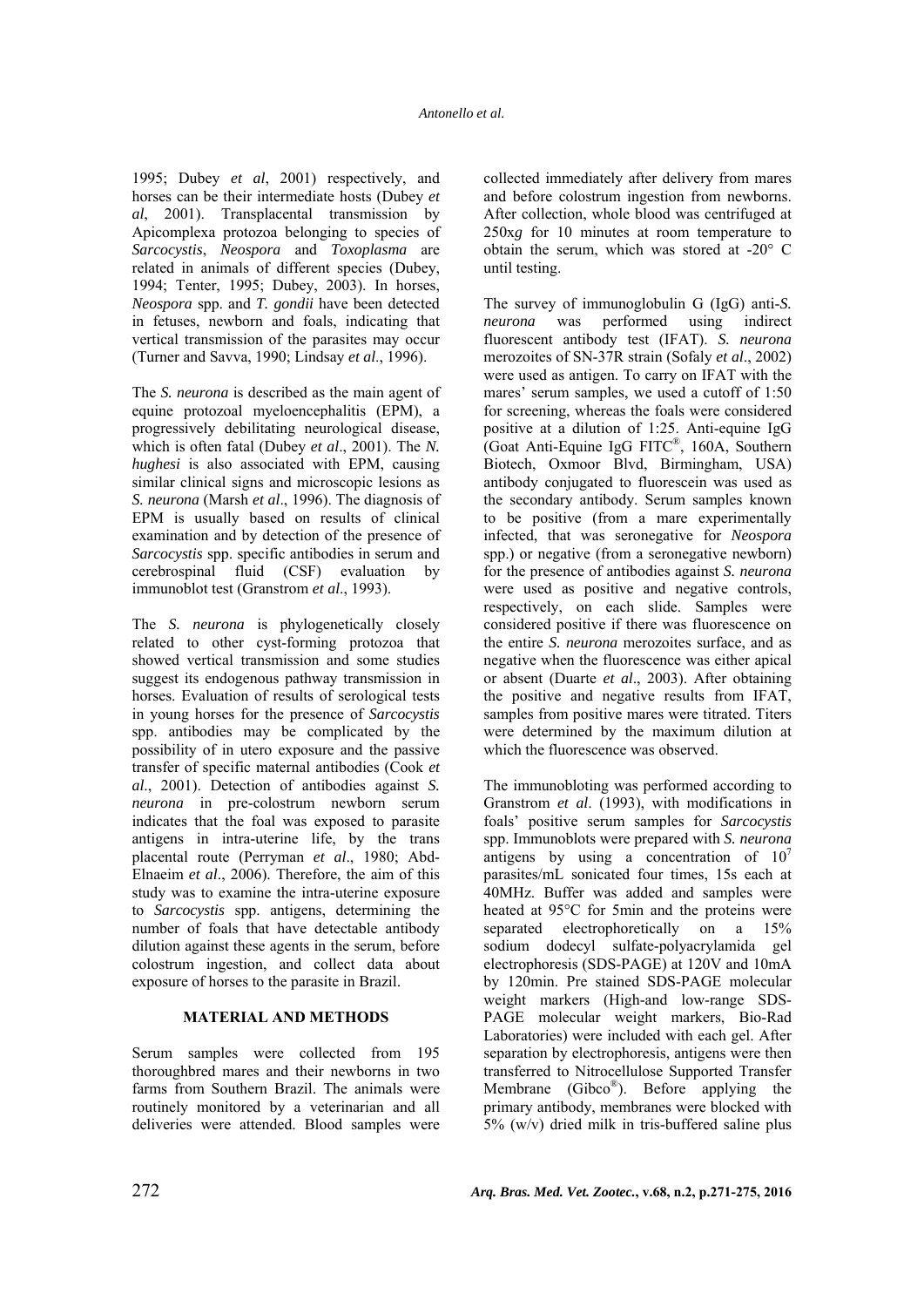1995; Dubey *et al*, 2001) respectively, and horses can be their intermediate hosts (Dubey *et al*, 2001). Transplacental transmission by Apicomplexa protozoa belonging to species of *Sarcocystis*, *Neospora* and *Toxoplasma* are related in animals of different species (Dubey, 1994; Tenter, 1995; Dubey, 2003). In horses, *Neospora* spp. and *T. gondii* have been detected in fetuses, newborn and foals, indicating that vertical transmission of the parasites may occur (Turner and Savva, 1990; Lindsay *et al*., 1996).

The *S. neurona* is described as the main agent of equine protozoal myeloencephalitis (EPM), a progressively debilitating neurological disease, which is often fatal (Dubey *et al*., 2001). The *N. hughesi* is also associated with EPM, causing similar clinical signs and microscopic lesions as *S. neurona* (Marsh *et al*., 1996). The diagnosis of EPM is usually based on results of clinical examination and by detection of the presence of *Sarcocystis* spp. specific antibodies in serum and cerebrospinal fluid (CSF) evaluation by immunoblot test (Granstrom *et al*., 1993).

The *S. neurona* is phylogenetically closely related to other cyst-forming protozoa that showed vertical transmission and some studies suggest its endogenous pathway transmission in horses. Evaluation of results of serological tests in young horses for the presence of *Sarcocystis* spp. antibodies may be complicated by the possibility of in utero exposure and the passive transfer of specific maternal antibodies (Cook *et al*., 2001). Detection of antibodies against *S. neurona* in pre-colostrum newborn serum indicates that the foal was exposed to parasite antigens in intra-uterine life, by the trans placental route (Perryman *et al*., 1980; Abd-Elnaeim *et al*., 2006). Therefore, the aim of this study was to examine the intra-uterine exposure to *Sarcocystis* spp. antigens, determining the number of foals that have detectable antibody dilution against these agents in the serum, before colostrum ingestion, and collect data about exposure of horses to the parasite in Brazil.

## **MATERIAL AND METHODS**

Serum samples were collected from 195 thoroughbred mares and their newborns in two farms from Southern Brazil. The animals were routinely monitored by a veterinarian and all deliveries were attended. Blood samples were collected immediately after delivery from mares and before colostrum ingestion from newborns. After collection, whole blood was centrifuged at 250x*g* for 10 minutes at room temperature to obtain the serum, which was stored at -20° C until testing.

The survey of immunoglobulin G (IgG) anti-*S. neurona* was performed using indirect fluorescent antibody test (IFAT). *S. neurona*  merozoites of SN-37R strain (Sofaly *et al*., 2002) were used as antigen. To carry on IFAT with the mares' serum samples, we used a cutoff of 1:50 for screening, whereas the foals were considered positive at a dilution of 1:25. Anti-equine IgG (Goat Anti-Equine IgG FITC®, 160A, Southern Biotech, Oxmoor Blvd, Birmingham, USA) antibody conjugated to fluorescein was used as the secondary antibody. Serum samples known to be positive (from a mare experimentally infected, that was seronegative for *Neospora* spp.) or negative (from a seronegative newborn) for the presence of antibodies against *S. neurona* were used as positive and negative controls, respectively, on each slide. Samples were considered positive if there was fluorescence on the entire *S. neurona* merozoites surface, and as negative when the fluorescence was either apical or absent (Duarte *et al*., 2003). After obtaining the positive and negative results from IFAT, samples from positive mares were titrated. Titers were determined by the maximum dilution at which the fluorescence was observed.

The immunobloting was performed according to Granstrom *et al*. (1993), with modifications in foals' positive serum samples for *Sarcocystis* spp. Immunoblots were prepared with *S. neurona* antigens by using a concentration of  $10^7$ parasites/mL sonicated four times, 15s each at 40MHz. Buffer was added and samples were heated at 95°C for 5min and the proteins were separated electrophoretically on a 15% sodium dodecyl sulfate-polyacrylamida gel electrophoresis (SDS-PAGE) at 120V and 10mA by 120min. Pre stained SDS-PAGE molecular weight markers (High-and low-range SDS-PAGE molecular weight markers, Bio-Rad Laboratories) were included with each gel. After separation by electrophoresis, antigens were then transferred to Nitrocellulose Supported Transfer Membrane (Gibco®). Before applying the primary antibody, membranes were blocked with 5% (w/v) dried milk in tris-buffered saline plus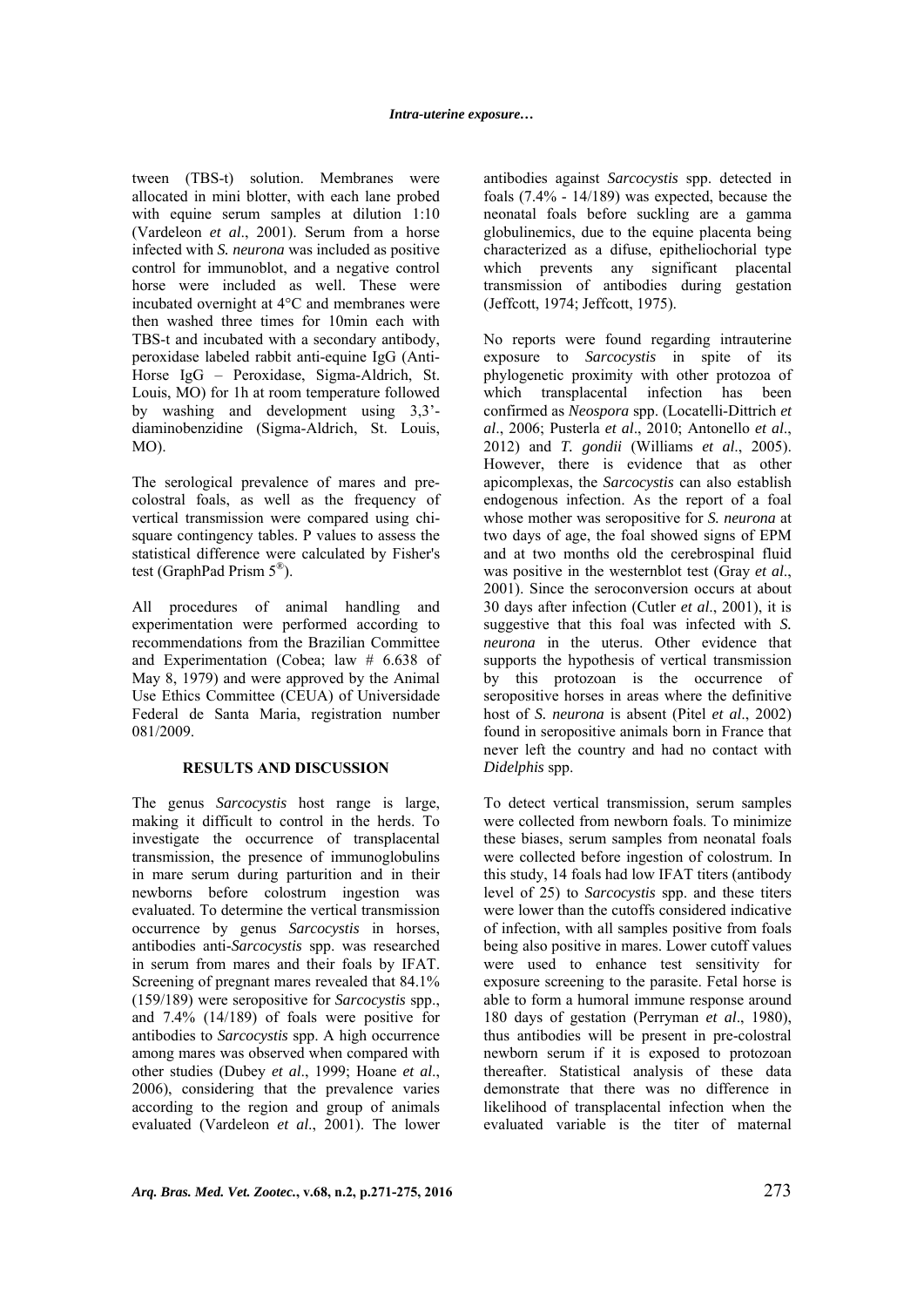tween (TBS-t) solution. Membranes were allocated in mini blotter, with each lane probed with equine serum samples at dilution 1:10 (Vardeleon *et al*., 2001). Serum from a horse infected with *S. neurona* was included as positive control for immunoblot, and a negative control horse were included as well. These were incubated overnight at 4°C and membranes were then washed three times for 10min each with TBS-t and incubated with a secondary antibody, peroxidase labeled rabbit anti-equine IgG (Anti-Horse IgG – Peroxidase, Sigma-Aldrich, St. Louis, MO) for 1h at room temperature followed by washing and development using 3,3' diaminobenzidine (Sigma-Aldrich, St. Louis, MO).

The serological prevalence of mares and precolostral foals, as well as the frequency of vertical transmission were compared using chisquare contingency tables. P values to assess the statistical difference were calculated by Fisher's test (GraphPad Prism  $5^{\circledR}$ ).

All procedures of animal handling and experimentation were performed according to recommendations from the Brazilian Committee and Experimentation (Cobea; law # 6.638 of May 8, 1979) and were approved by the Animal Use Ethics Committee (CEUA) of Universidade Federal de Santa Maria, registration number 081/2009.

## **RESULTS AND DISCUSSION**

The genus *Sarcocystis* host range is large, making it difficult to control in the herds. To investigate the occurrence of transplacental transmission, the presence of immunoglobulins in mare serum during parturition and in their newborns before colostrum ingestion was evaluated. To determine the vertical transmission occurrence by genus *Sarcocystis* in horses, antibodies anti-*Sarcocystis* spp. was researched in serum from mares and their foals by IFAT. Screening of pregnant mares revealed that 84.1% (159/189) were seropositive for *Sarcocystis* spp., and 7.4% (14/189) of foals were positive for antibodies to *Sarcocystis* spp. A high occurrence among mares was observed when compared with other studies (Dubey *et al*., 1999; Hoane *et al*., 2006), considering that the prevalence varies according to the region and group of animals evaluated (Vardeleon *et al*., 2001). The lower antibodies against *Sarcocystis* spp. detected in foals (7.4% - 14/189) was expected, because the neonatal foals before suckling are a gamma globulinemics, due to the equine placenta being characterized as a difuse, epitheliochorial type which prevents any significant placental transmission of antibodies during gestation (Jeffcott, 1974; Jeffcott, 1975).

No reports were found regarding intrauterine exposure to *Sarcocystis* in spite of its phylogenetic proximity with other protozoa of which transplacental infection has been confirmed as *Neospora* spp. (Locatelli-Dittrich *et al*., 2006; Pusterla *et al*., 2010; Antonello *et al*., 2012) and *T. gondii* (Williams *et al*., 2005). However, there is evidence that as other apicomplexas, the *Sarcocystis* can also establish endogenous infection. As the report of a foal whose mother was seropositive for *S. neurona* at two days of age, the foal showed signs of EPM and at two months old the cerebrospinal fluid was positive in the westernblot test (Gray *et al*., 2001). Since the seroconversion occurs at about 30 days after infection (Cutler *et al*., 2001), it is suggestive that this foal was infected with *S. neurona* in the uterus. Other evidence that supports the hypothesis of vertical transmission by this protozoan is the occurrence of seropositive horses in areas where the definitive host of *S. neurona* is absent (Pitel *et al*., 2002) found in seropositive animals born in France that never left the country and had no contact with *Didelphis* spp.

To detect vertical transmission, serum samples were collected from newborn foals. To minimize these biases, serum samples from neonatal foals were collected before ingestion of colostrum. In this study, 14 foals had low IFAT titers (antibody level of 25) to *Sarcocystis* spp. and these titers were lower than the cutoffs considered indicative of infection, with all samples positive from foals being also positive in mares. Lower cutoff values were used to enhance test sensitivity for exposure screening to the parasite. Fetal horse is able to form a humoral immune response around 180 days of gestation (Perryman *et al*., 1980), thus antibodies will be present in pre-colostral newborn serum if it is exposed to protozoan thereafter. Statistical analysis of these data demonstrate that there was no difference in likelihood of transplacental infection when the evaluated variable is the titer of maternal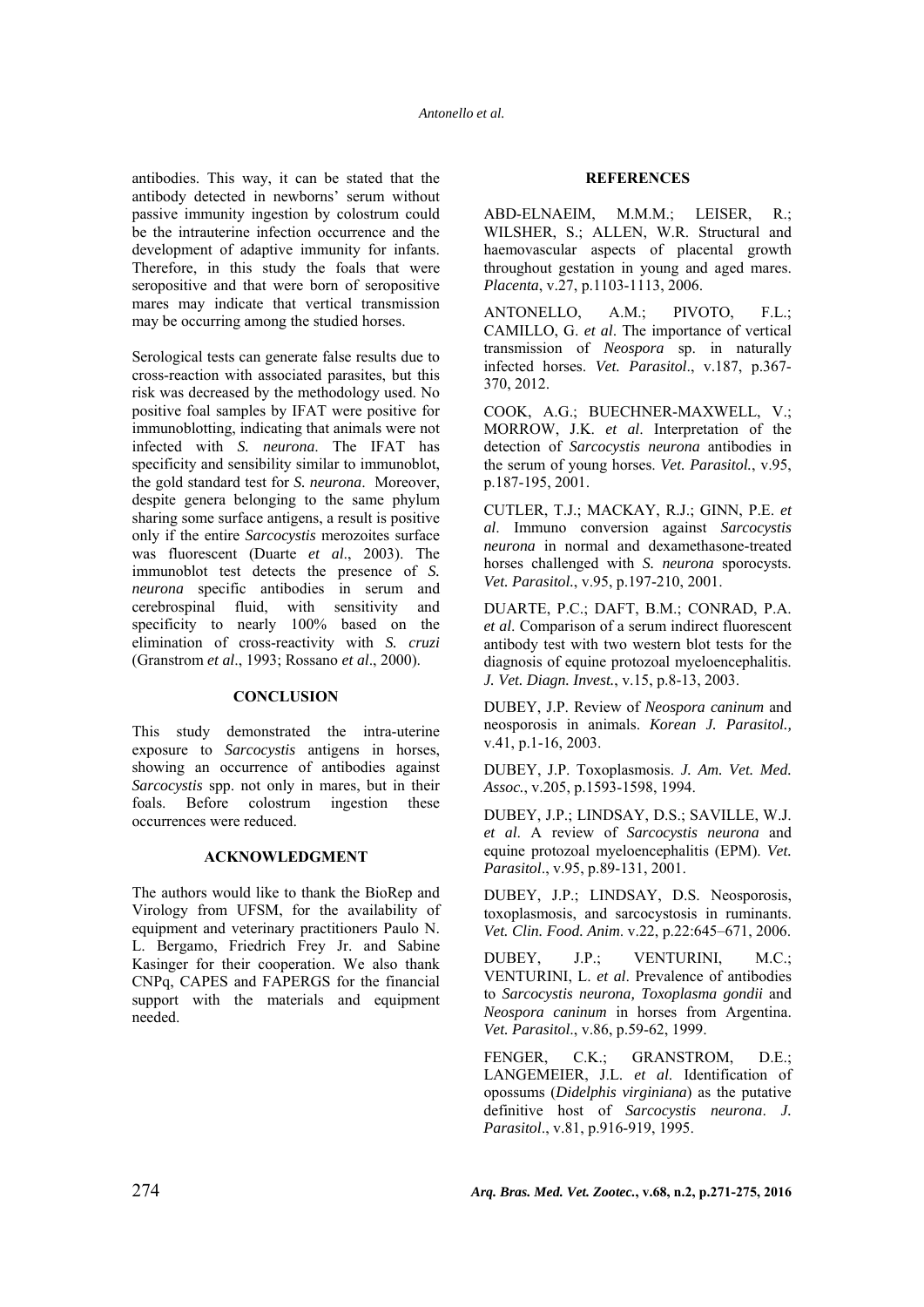antibodies. This way, it can be stated that the antibody detected in newborns' serum without passive immunity ingestion by colostrum could be the intrauterine infection occurrence and the development of adaptive immunity for infants. Therefore, in this study the foals that were seropositive and that were born of seropositive mares may indicate that vertical transmission may be occurring among the studied horses.

Serological tests can generate false results due to cross-reaction with associated parasites, but this risk was decreased by the methodology used. No positive foal samples by IFAT were positive for immunoblotting, indicating that animals were not infected with *S. neurona*. The IFAT has specificity and sensibility similar to immunoblot, the gold standard test for *S. neurona*. Moreover, despite genera belonging to the same phylum sharing some surface antigens, a result is positive only if the entire *Sarcocystis* merozoites surface was fluorescent (Duarte *et al*., 2003). The immunoblot test detects the presence of *S. neurona* specific antibodies in serum and cerebrospinal fluid, with sensitivity and specificity to nearly 100% based on the elimination of cross-reactivity with *S. cruzi* (Granstrom *et al*., 1993; Rossano *et al*., 2000).

#### **CONCLUSION**

This study demonstrated the intra-uterine exposure to *Sarcocystis* antigens in horses, showing an occurrence of antibodies against *Sarcocystis* spp. not only in mares, but in their foals. Before colostrum ingestion these occurrences were reduced.

## **ACKNOWLEDGMENT**

The authors would like to thank the BioRep and Virology from UFSM, for the availability of equipment and veterinary practitioners Paulo N. L. Bergamo, Friedrich Frey Jr. and Sabine Kasinger for their cooperation. We also thank CNPq, CAPES and FAPERGS for the financial support with the materials and equipment needed.

#### **REFERENCES**

ABD-ELNAEIM, M.M.M.; LEISER, R.; WILSHER, S.; ALLEN, W.R. Structural and haemovascular aspects of placental growth throughout gestation in young and aged mares. *Placenta*, v.27, p.1103-1113, 2006.

ANTONELLO, A.M.; PIVOTO, F.L.; CAMILLO, G. *et al*. The importance of vertical transmission of *Neospora* sp. in naturally infected horses. *Vet. Parasitol*., v.187, p.367- 370, 2012.

COOK, A.G.; BUECHNER-MAXWELL, V.; MORROW, J.K. *et al*. Interpretation of the detection of *Sarcocystis neurona* antibodies in the serum of young horses. *Vet. Parasitol.*, v.95, p.187-195, 2001.

CUTLER, T.J.; MACKAY, R.J.; GINN, P.E. *et al*. Immuno conversion against *Sarcocystis neurona* in normal and dexamethasone-treated horses challenged with *S. neurona* sporocysts. *Vet. Parasitol.*, v.95, p.197-210, 2001.

DUARTE, P.C.; DAFT, B.M.; CONRAD, P.A. *et al*. Comparison of a serum indirect fluorescent antibody test with two western blot tests for the diagnosis of equine protozoal myeloencephalitis. *J. Vet. Diagn. Invest.*, v.15, p.8-13, 2003.

DUBEY, J.P. Review of *Neospora caninum* and neosporosis in animals. *Korean J. Parasitol.,* v.41, p.1-16, 2003.

DUBEY, J.P. Toxoplasmosis. *J. Am. Vet. Med. Assoc.*, v.205, p.1593-1598, 1994.

DUBEY, J.P.; LINDSAY, D.S.; SAVILLE, W.J. *et al*. A review of *Sarcocystis neurona* and equine protozoal myeloencephalitis (EPM). *Vet. Parasitol*., v.95, p.89-131, 2001.

DUBEY, J.P.; LINDSAY, D.S. Neosporosis, toxoplasmosis, and sarcocystosis in ruminants. *Vet. Clin. Food. Anim*. v.22, p.22:645–671, 2006.

DUBEY, J.P.; VENTURINI, M.C.; VENTURINI, L. *et al*. Prevalence of antibodies to *Sarcocystis neurona, Toxoplasma gondii* and *Neospora caninum* in horses from Argentina. *Vet. Parasitol*., v.86, p.59-62, 1999.

FENGER, C.K.; GRANSTROM, D.E.; LANGEMEIER, J.L. *et al*. Identification of opossums (*Didelphis virginiana*) as the putative definitive host of *Sarcocystis neurona*. *J. Parasitol*., v.81, p.916-919, 1995.